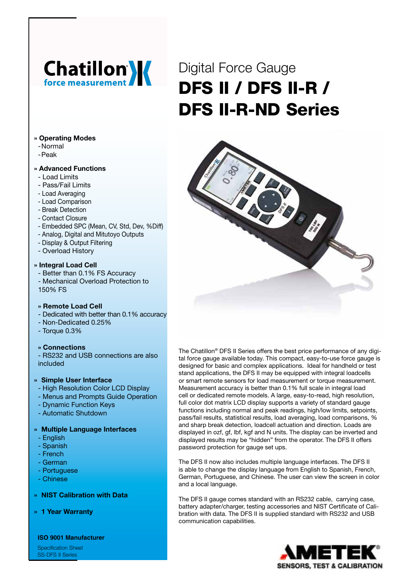# **Chatillon'**

# Digital Force Gauge DFS II / DFS II-R / DFS II-R-ND Series



- -Normal
- -Peak

# **» Advanced Functions**

- Load Limits
- Pass/Fail Limits
- Load Averaging
- Load Comparison
- Break Detection
- Contact Closure
- Embedded SPC (Mean, CV, Std, Dev, %Diff)
- Analog, Digital and Mitutoyo Outputs
- Display & Output Filtering
- Overload History

#### **» Integral Load Cell**

- Better than 0.1% FS Accuracy
- Mechanical Overload Protection to 150% FS

# **» Remote Load Cell**

- Dedicated with better than 0.1% accuracy
- Non-Dedicated 0.25%
- Torque 0.3%

# **» Connections**

- RS232 and USB connections are also included

# **» Simple User Interface**

- High Resolution Color LCD Display
- Menus and Prompts Guide Operation
- Dynamic Function Keys
- Automatic Shutdown

# **» Multiple Language Interfaces**

- English
- Spanish
- French
- German
- Portuguese
- Chinese

#### **» NIST Calibration with Data**

**» 1 Year Warranty**

**ISO 9001 Manufacturer**

Specification Sheet SS-DFS II Series

The Chatillon® DFS II Series offers the best price performance of any digital force gauge available today. This compact, easy-to-use force gauge is designed for basic and complex applications. Ideal for handheld or test stand applications, the DFS II may be equipped with integral loadcells or smart remote sensors for load measurement or torque measurement. Measurement accuracy is better than 0.1% full scale in integral load cell or dedicated remote models. A large, easy-to-read, high resolution, full color dot matrix LCD display supports a variety of standard gauge functions including normal and peak readings, high/low limits, setpoints, pass/fail results, statistical results, load averaging, load comparisons, % and sharp break detection, loadcell actuation and direction. Loads are displayed in ozf, gf, lbf, kgf and N units. The display can be inverted and displayed results may be "hidden" from the operator. The DFS II offers password protection for gauge set ups.

The DFS II now also includes multiple language interfaces. The DFS II is able to change the display language from English to Spanish, French, German, Portuguese, and Chinese. The user can view the screen in color and a local language.

The DFS II gauge comes standard with an RS232 cable, carrying case, battery adapter/charger, testing accessories and NIST Certificate of Calibration with data. The DFS II is supplied standard with RS232 and USB communication capabilities.



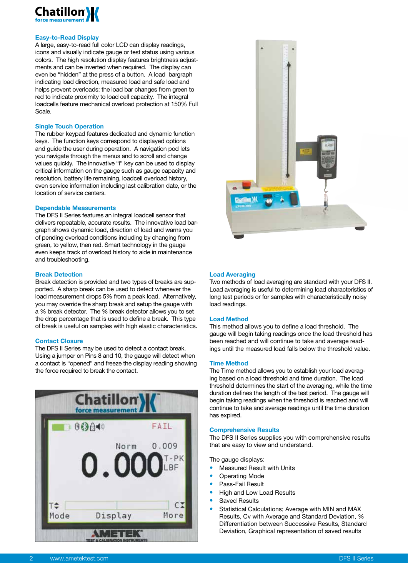

#### **Easy-to-Read Display**

A large, easy-to-read full color LCD can display readings, icons and visually indicate gauge or test status using various colors. The high resolution display features brightness adjustments and can be inverted when required. The display can even be "hidden" at the press of a button. A load bargraph indicating load direction, measured load and safe load and helps prevent overloads: the load bar changes from green to red to indicate proximity to load cell capacity. The integral loadcells feature mechanical overload protection at 150% Full Scale.

#### **Single Touch Operation**

The rubber keypad features dedicated and dynamic function keys. The function keys correspond to displayed options and guide the user during operation. A navigation pod lets you navigate through the menus and to scroll and change values quickly. The innovative "i" key can be used to display critical information on the gauge such as gauge capacity and resolution, battery life remaining, loadcell overload history, even service information including last calibration date, or the location of service centers.

#### **Dependable Measurements**

The DFS II Series features an integral loadcell sensor that delivers repeatable, accurate results. The innovative load bargraph shows dynamic load, direction of load and warns you of pending overload conditions including by changing from green, to yellow, then red. Smart technology in the gauge even keeps track of overload history to aide in maintenance and troubleshooting.

#### **Break Detection**

Break detection is provided and two types of breaks are supported. A sharp break can be used to detect whenever the load measurement drops 5% from a peak load. Alternatively, you may override the sharp break and setup the gauge with a % break detector. The % break detector allows you to set the drop percentage that is used to define a break. This type of break is useful on samples with high elastic characteristics.

#### **Contact Closure**

The DFS II Series may be used to detect a contact break. Using a jumper on Pins 8 and 10, the gauge will detect when a contact is "opened" and freeze the display reading showing the force required to break the contact.





#### **Load Averaging**

Two methods of load averaging are standard with your DFS II. Load averaging is useful to determining load characteristics of long test periods or for samples with characteristically noisy load readings.

#### **Load Method**

This method allows you to define a load threshold. The gauge will begin taking readings once the load threshold has been reached and will continue to take and average readings until the measured load falls below the threshold value.

#### **Time Method**

The Time method allows you to establish your load averaging based on a load threshold and time duration. The load threshold determines the start of the averaging, while the time duration defines the length of the test period. The gauge will begin taking readings when the threshold is reached and will continue to take and average readings until the time duration has expired.

#### **Comprehensive Results**

The DFS II Series supplies you with comprehensive results that are easy to view and understand.

The gauge displays:

- Measured Result with Units
- Operating Mode
- Pass-Fail Result
- High and Low Load Results
- Saved Results
- Statistical Calculations; Average with MIN and MAX Results, Cv with Average and Standard Deviation, % Differentiation between Successive Results, Standard Deviation, Graphical representation of saved results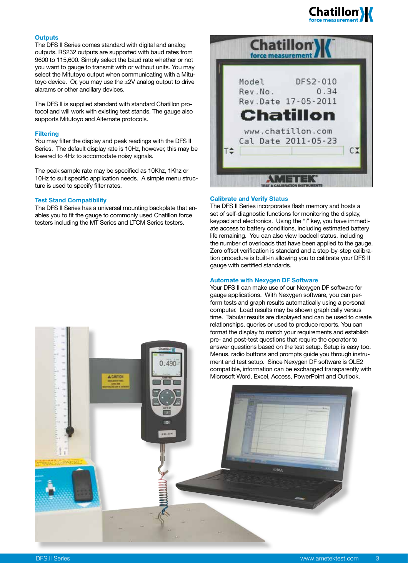

#### **Outputs**

The DFS II Series comes standard with digital and analog outputs. RS232 outputs are supported with baud rates from 9600 to 115,600. Simply select the baud rate whether or not you want to gauge to transmit with or without units. You may select the Mitutoyo output when communicating with a Mitutoyo device. Or, you may use the  $\pm 2V$  analog output to drive alarams or other ancillary devices.

The DFS II is supplied standard with standard Chatillon protocol and will work with existing test stands. The gauge also supports Mitutoyo and Alternate protocols.

#### **Filtering**

You may filter the display and peak readings with the DFS II Series. The default display rate is 10Hz, however, this may be lowered to 4Hz to accomodate noisy signals.

The peak sample rate may be specified as 10Khz, 1Khz or 10Hz to suit specific application needs. A simple menu structure is used to specify filter rates.

#### **Test Stand Compatibility**

The DFS II Series has a universal mounting backplate that enables you to fit the gauge to commonly used Chatillon force testers including the MT Series and LTCM Series testers.



#### **Calibrate and Verify Status**

The DFS II Series incorporates flash memory and hosts a set of self-diagnostic functions for monitoring the display, keypad and electronics. Using the "i" key, you have immediate access to battery conditions, including estimated battery life remaining. You can also view loadcell status, including the number of overloads that have been applied to the gauge. Zero offset verification is standard and a step-by-step calibration procedure is built-in allowing you to calibrate your DFS II gauge with certified standards.

#### **Automate with Nexygen DF Software**

Your DFS II can make use of our Nexygen DF software for gauge applications. With Nexygen software, you can perform tests and graph results automatically using a personal computer. Load results may be shown graphically versus time. Tabular results are displayed and can be used to create relationships, queries or used to produce reports. You can format the display to match your requirements and establish pre- and post-test questions that require the operator to answer questions based on the test setup. Setup is easy too. Menus, radio buttons and prompts guide you through instrument and test setup. Since Nexygen DF software is OLE2 compatible, information can be exchanged transparently with Microsoft Word, Excel, Access, PowerPoint and Outlook.

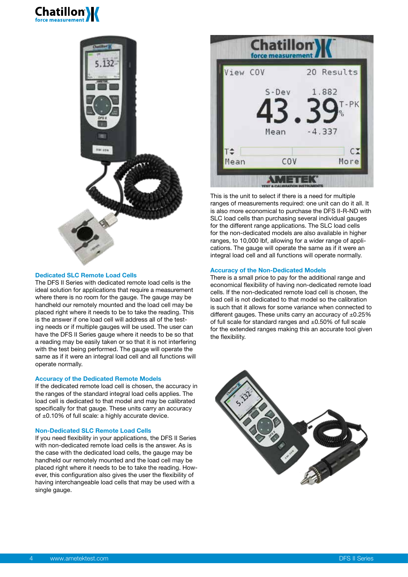# **Chatillon**



#### **Dedicated SLC Remote Load Cells**

The DFS II Series with dedicated remote load cells is the ideal solution for applications that require a measurement where there is no room for the gauge. The gauge may be handheld our remotely mounted and the load cell may be placed right where it needs to be to take the reading. This is the answer if one load cell will address all of the testing needs or if multiple gauges will be used. The user can have the DFS II Series gauge where it needs to be so that a reading may be easily taken or so that it is not interfering with the test being performed. The gauge will operate the same as if it were an integral load cell and all functions will operate normally.

#### **Accuracy of the Dedicated Remote Models**

If the dedicated remote load cell is chosen, the accuracy in the ranges of the standard integral load cells applies. The load cell is dedicated to that model and may be calibrated specifically for that gauge. These units carry an accuracy of ±0.10% of full scale: a highly accurate device.

#### **Non-Dedicated SLC Remote Load Cells**

If you need flexibility in your applications, the DFS II Series with non-dedicated remote load cells is the answer. As is the case with the dedicated load cells, the gauge may be handheld our remotely mounted and the load cell may be placed right where it needs to be to take the reading. However, this configuration also gives the user the flexibility of having interchangeable load cells that may be used with a single gauge.



This is the unit to select if there is a need for multiple ranges of measurements required: one unit can do it all. It is also more economical to purchase the DFS II-R-ND with SLC load cells than purchasing several individual gauges for the different range applications. The SLC load cells for the non-dedicated models are also available in higher ranges, to 10,000 lbf, allowing for a wider range of applications. The gauge will operate the same as if it were an integral load cell and all functions will operate normally.

#### **Accuracy of the Non-Dedicated Models**

There is a small price to pay for the additional range and economical flexibility of having non-dedicated remote load cells. If the non-dedicated remote load cell is chosen, the load cell is not dedicated to that model so the calibration is such that it allows for some variance when connected to different gauges. These units carry an accuracy of  $\pm 0.25\%$ of full scale for standard ranges and ±0.50% of full scale for the extended ranges making this an accurate tool given the flexibility.

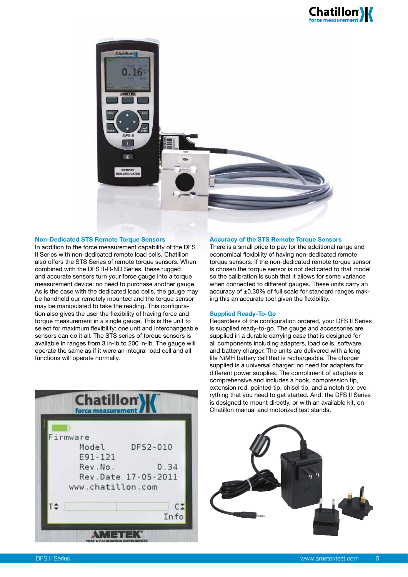



#### **Non-Dedicated STS Remote Torque Sensors**

In addition to the force measurement capability of the DFS II Series with non-dedicated remote load cells, Chatillon also offers the STS Series of remote torque sensors. When combined with the DFS II-R-ND Series, these rugged and accurate sensors turn your force gauge into a torque measurement device: no need to purchase another gauge. As is the case with the dedicated load cells, the gauge may be handheld our remotely mounted and the torque sensor may be manipulated to take the reading. This configuration also gives the user the flexibility of having force and torque measurement in a single gauge. This is the unit to select for maximum flexibility: one unit and interchangeable sensors can do it all. The STS series of torque sensors is available in ranges from 3 in-lb to 200 in-lb. The gauge will operate the same as if it were an integral load cell and all functions will operate normally.

| Firmware |                     |
|----------|---------------------|
| Model    | DFS2-010            |
| E91-121  |                     |
| Rev.No.  | 0.34                |
|          | Rev.Date 17-05-2011 |
|          | www.chatillon.com   |
|          |                     |
|          | $C_{\rightarrow}$   |
|          | Info                |

#### **Accuracy of the STS Remote Torque Sensors**

There is a small price to pay for the additional range and economical flexibility of having non-dedicated remote torque sensors. If the non-dedicated remote torque sensor is chosen the torque sensor is not dedicated to that model so the calibration is such that it allows for some variance when connected to different gauges. These units carry an accuracy of ±0.30% of full scale for standard ranges making this an accurate tool given the flexibility.

#### **Supplied Ready-To-Go**

Regardless of the configuration ordered, your DFS II Series is supplied ready-to-go. The gauge and accessories are supplied in a durable carrying case that is designed for all components including adapters, load cells, software, and battery charger. The units are delivered with a long life NiMH battery cell that is rechargeable. The charger supplied is a universal charger: no need for adapters for different power supplies. The compliment of adapters is comprehensive and includes a hook, compression tip, extension rod, pointed tip, chisel tip, and a notch tip: everything that you need to get started. And, the DFS II Series is designed to mount directly, or with an available kit, on Chatillon manual and motorized test stands.

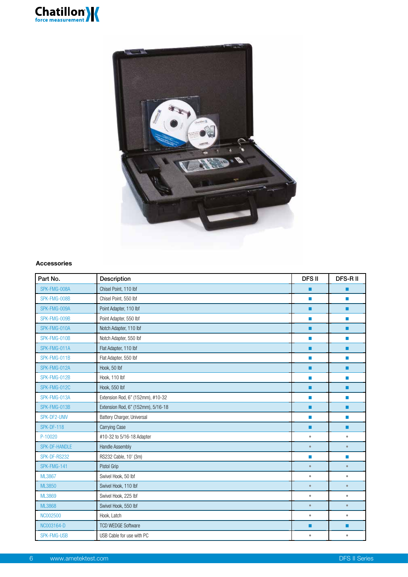



#### **Accessories**

| Part No.          | Description                        | <b>DFSII</b> | DFS-R II  |
|-------------------|------------------------------------|--------------|-----------|
| SPK-FMG-008A      | Chisel Point, 110 lbf              | п            | ■         |
| SPK-FMG-008B      | Chisel Point, 550 lbf              | П            | <b>I</b>  |
| SPK-FMG-009A      | Point Adapter, 110 lbf             | ■            | п         |
| SPK-FMG-009B      | Point Adapter, 550 lbf             | П            | <b>In</b> |
| SPK-FMG-010A      | Notch Adapter, 110 lbf             | ٠            | ■         |
| SPK-FMG-010B      | Notch Adapter, 550 lbf             | П            | ×         |
| SPK-FMG-011A      | Flat Adapter, 110 lbf              | п            | п         |
| SPK-FMG-011B      | Flat Adapter, 550 lbf              | П            | П         |
| SPK-FMG-012A      | Hook, 50 lbf                       | ٠            | ■         |
| SPK-FMG-012B      | Hook, 110 lbf                      | П            | П         |
| SPK-FMG-012C      | Hook, 550 lbf                      | ■            | п         |
| SPK-FMG-013A      | Extension Rod, 6" (152mm), #10-32  | П            | П         |
| SPK-FMG-013B      | Extension Rod, 6" (152mm), 5/16-18 | ٠            | п         |
| SPK-DF2-UNIV      | Battery Charger, Universal         | П            | П         |
| <b>SPK-DF-118</b> | Carrying Case                      | п            | п         |
| P-10020           | #10-32 to 5/16-18 Adapter          | $\bullet$    | $\bullet$ |
| SPK-DF-HANDLE     | <b>Handle Assembly</b>             | $\bullet$    | $\bullet$ |
| SPK-DF-RS232      | RS232 Cable, 10' (3m)              | П            | П         |
| SPK-FMG-141       | Pistol Grip                        | $\bullet$    | $\bullet$ |
| <b>ML3867</b>     | Swivel Hook, 50 lbf                | $\bullet$    | $\bullet$ |
| ML3850            | Swivel Hook, 110 lbf               | $\bullet$    | $\bullet$ |
| ML3869            | Swivel Hook, 225 lbf               | $\bullet$    | $\bullet$ |
| <b>ML3868</b>     | Swivel Hook, 550 lbf               | $\bullet$    | $\bullet$ |
| NC002500          | Hook, Latch                        | $\bullet$    | $\bullet$ |
| NC003164-D        | <b>TCD WEDGE Software</b>          | п            | п         |
| SPK-FMG-USB       | USB Cable for use with PC          | $\bullet$    | $\bullet$ |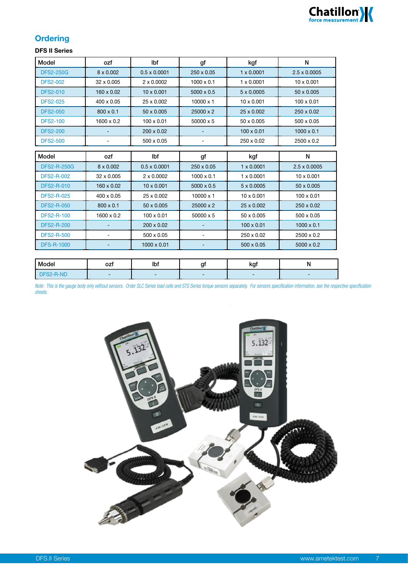

# **Ordering**

# **DFS II Series**

| Model              | ozf                          | lbf                 | gf                | kgf               | N                   |
|--------------------|------------------------------|---------------------|-------------------|-------------------|---------------------|
| <b>DFS2-250G</b>   | $8 \times 0.002$             | $0.5 \times 0.0001$ | 250 x 0.05        | $1 \times 0.0001$ | $2.5 \times 0.0005$ |
| <b>DFS2-002</b>    | 32 x 0.005                   | $2 \times 0.0002$   | $1000 \times 0.1$ | $1 \times 0.0001$ | $10 \times 0.001$   |
| <b>DFS2-010</b>    | 160 x 0.02                   | $10 \times 0.001$   | $5000 \times 0.5$ | $5 \times 0.0005$ | 50 x 0.005          |
| <b>DFS2-025</b>    | 400 x 0.05                   | 25 x 0.002          | $10000 \times 1$  | $10 \times 0.001$ | $100 \times 0.01$   |
| <b>DFS2-050</b>    | $800 \times 0.1$             | 50 x 0.005          | 25000 x 2         | 25 x 0.002        | 250 x 0.02          |
| <b>DFS2-100</b>    | $1600 \times 0.2$            | $100 \times 0.01$   | 50000 x 5         | 50 x 0.005        | 500 x 0.05          |
| <b>DFS2-200</b>    |                              | $200 \times 0.02$   |                   | $100 \times 0.01$ | $1000 \times 0.1$   |
| <b>DFS2-500</b>    | $\overline{\phantom{a}}$     | $500 \times 0.05$   |                   | 250 x 0.02        | 2500 x 0.2          |
| Model              | ozf                          | lbf                 | gf                | kgf               | N                   |
|                    |                              |                     |                   |                   |                     |
| <b>DFS2-R-250G</b> | $8 \times 0.002$             | $0.5 \times 0.0001$ | 250 x 0.05        | $1 \times 0.0001$ | $2.5 \times 0.0005$ |
| <b>DFS2-R-002</b>  | 32 x 0.005                   | $2 \times 0.0002$   | $1000 \times 0.1$ | $1 \times 0.0001$ | $10 \times 0.001$   |
| <b>DFS2-R-010</b>  | 160 x 0.02                   | $10 \times 0.001$   | $5000 \times 0.5$ | $5 \times 0.0005$ | 50 x 0.005          |
| <b>DFS2-R-025</b>  | 400 x 0.05                   | 25 x 0.002          | $10000 \times 1$  | $10 \times 0.001$ | $100 \times 0.01$   |
| <b>DFS2-R-050</b>  | $800 \times 0.1$             | 50 x 0.005          | 25000 x 2         | 25 x 0.002        | 250 x 0.02          |
| <b>DFS2-R-100</b>  | $1600 \times 0.2$            | $100 \times 0.01$   | $50000 \times 5$  | 50 x 0.005        | 500 x 0.05          |
| <b>DFS2-R-200</b>  |                              | $200 \times 0.02$   |                   | $100 \times 0.01$ | $1000 \times 0.1$   |
| <b>DFS2-R-500</b>  | $\qquad \qquad \blacksquare$ | 500 x 0.05          |                   | 250 x 0.02        | $2500 \times 0.2$   |
| <b>DFS-R-1000</b>  |                              | $1000 \times 0.01$  |                   | 500 x 0.05        | $5000 \times 0.2$   |

| Model            | ~-+<br><u>uzi</u>        | Ш<br>ישו |   | . <del>.</del><br>11 J | . . |
|------------------|--------------------------|----------|---|------------------------|-----|
| $2 - 1 - 1$<br>. | $\overline{\phantom{a}}$ |          | - | -                      |     |

Note: This is the gauge body only without sensors. Order SLC Series load cells and STS Series torque sensors separately. For sensors specification information, see the respective specification *sheets.*